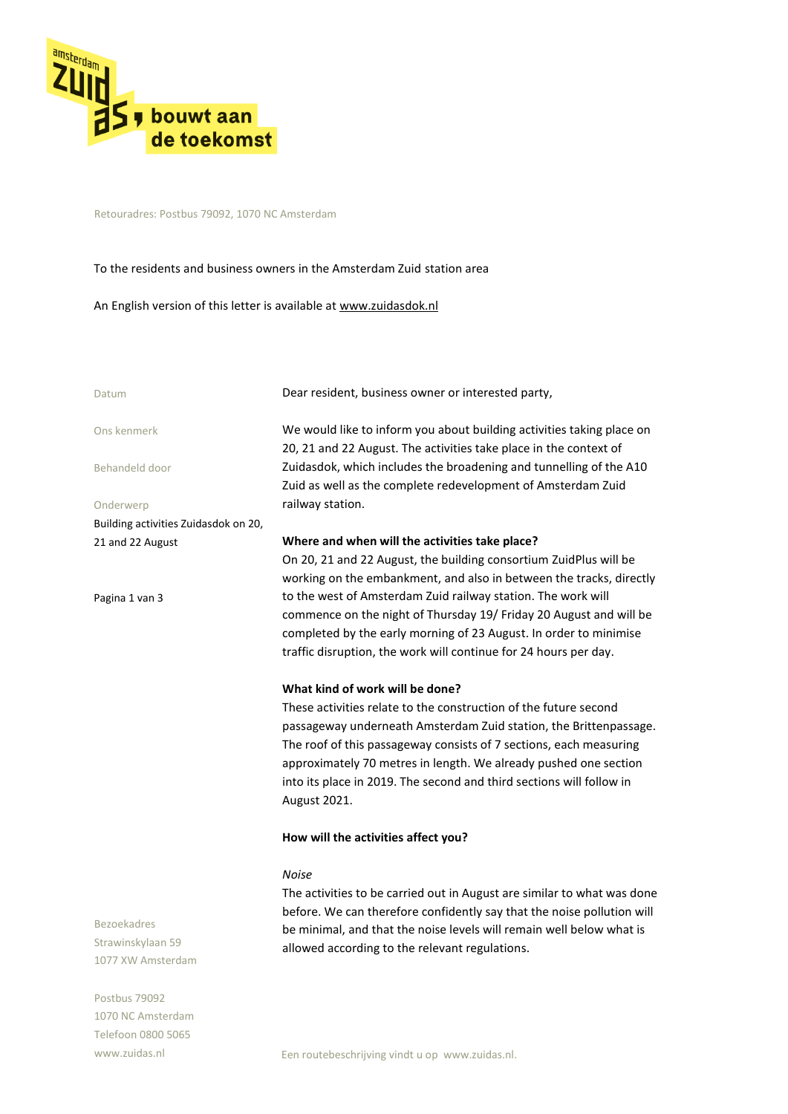

Retouradres: Postbus 79092, 1070 NC Amsterdam

# To the residents and business owners in the Amsterdam Zuid station area

An English version of this letter is available at www.zuidasdok.nl

| Datum                                | Dear resident, business owner or interested party,                                                                                         |
|--------------------------------------|--------------------------------------------------------------------------------------------------------------------------------------------|
| Ons kenmerk                          | We would like to inform you about building activities taking place on<br>20, 21 and 22 August. The activities take place in the context of |
| Behandeld door                       | Zuidasdok, which includes the broadening and tunnelling of the A10<br>Zuid as well as the complete redevelopment of Amsterdam Zuid         |
| Onderwerp                            | railway station.                                                                                                                           |
| Building activities Zuidasdok on 20, |                                                                                                                                            |
| 21 and 22 August                     | Where and when will the activities take place?                                                                                             |
|                                      | On 20, 21 and 22 August, the building consortium ZuidPlus will be                                                                          |
|                                      | working on the embankment, and also in between the tracks, directly                                                                        |
| Pagina 1 van 3                       | to the west of Amsterdam Zuid railway station. The work will                                                                               |
|                                      | commence on the night of Thursday 19/ Friday 20 August and will be                                                                         |
|                                      | completed by the early morning of 23 August. In order to minimise                                                                          |
|                                      | traffic disruption, the work will continue for 24 hours per day.                                                                           |
|                                      | What kind of work will be done?                                                                                                            |
|                                      | These activities relate to the construction of the future second                                                                           |
|                                      | passageway underneath Amsterdam Zuid station, the Brittenpassage.                                                                          |
|                                      | The roof of this passageway consists of 7 sections, each measuring                                                                         |
|                                      | approximately 70 metres in length. We already pushed one section                                                                           |
|                                      | into its place in 2019. The second and third sections will follow in                                                                       |
|                                      | August 2021.                                                                                                                               |
|                                      |                                                                                                                                            |
|                                      | How will the activities affect you?                                                                                                        |
|                                      | <b>Noise</b>                                                                                                                               |
|                                      | The activities to be carried out in August are similar to what was done                                                                    |

The activities to be carried out in August are similar to what was done before. We can therefore confidently say that the noise pollution will be minimal, and that the noise levels will remain well below what is allowed according to the relevant regulations.

Bezoekadres Strawinskylaan 59 1077 XW Amsterdam

Postbus 79092 1070 NC Amsterdam Telefoon 0800 5065 www.zuidas.nl

Een routebeschrijving vindt u op www.zuidas.nl.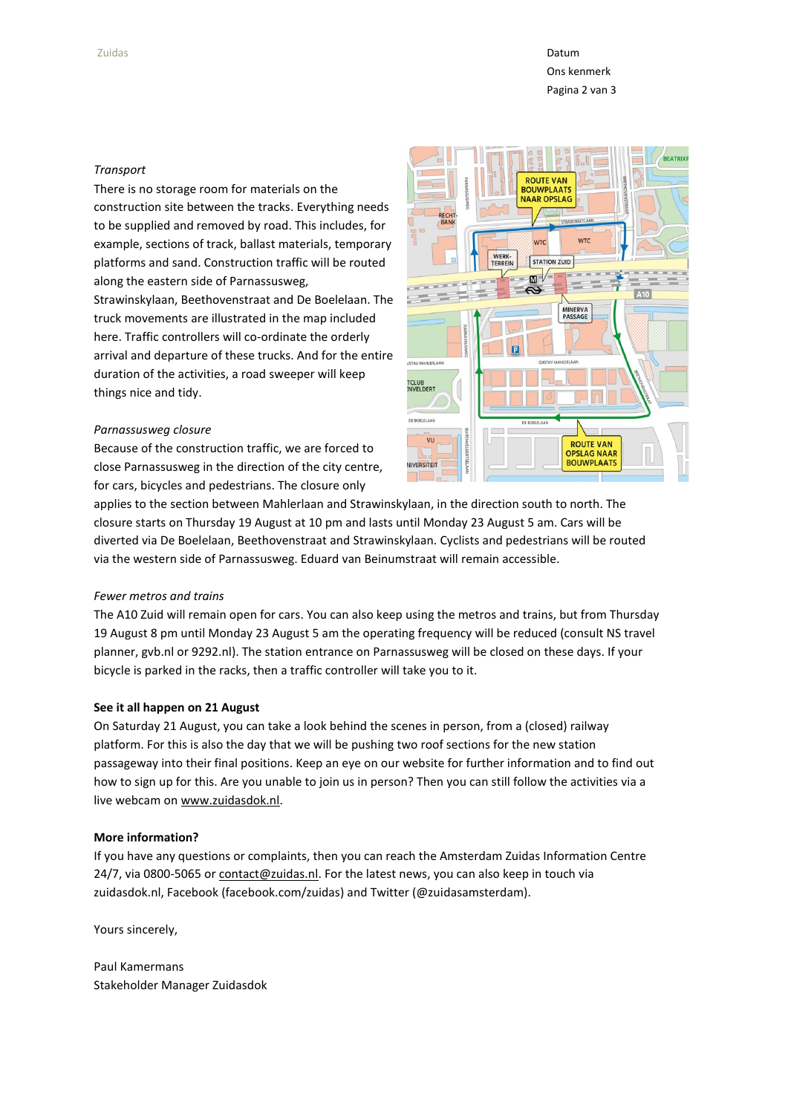Zuidas **Datum Datum Datum Datum Datum Datum Datum Datum Datum Datum Datum Datum** Datum Datum Datum Datum Datum Da Ons kenmerk Pagina 2 van 3

## *Transport*

There is no storage room for materials on the construction site between the tracks. Everything needs to be supplied and removed by road. This includes, for example, sections of track, ballast materials, temporary platforms and sand. Construction traffic will be routed along the eastern side of Parnassusweg,

Strawinskylaan, Beethovenstraat and De Boelelaan. The truck movements are illustrated in the map included here. Traffic controllers will co-ordinate the orderly arrival and departure of these trucks. And for the entire duration of the activities, a road sweeper will keep things nice and tidy.

### *Parnassusweg closure*

Because of the construction traffic, we are forced to close Parnassusweg in the direction of the city centre, for cars, bicycles and pedestrians. The closure only



applies to the section between Mahlerlaan and Strawinskylaan, in the direction south to north. The closure starts on Thursday 19 August at 10 pm and lasts until Monday 23 August 5 am. Cars will be diverted via De Boelelaan, Beethovenstraat and Strawinskylaan. Cyclists and pedestrians will be routed via the western side of Parnassusweg. Eduard van Beinumstraat will remain accessible.

# *Fewer metros and trains*

The A10 Zuid will remain open for cars. You can also keep using the metros and trains, but from Thursday 19 August 8 pm until Monday 23 August 5 am the operating frequency will be reduced (consult NS travel planner, gvb.nl or 9292.nl). The station entrance on Parnassusweg will be closed on these days. If your bicycle is parked in the racks, then a traffic controller will take you to it.

### **See it all happen on 21 August**

On Saturday 21 August, you can take a look behind the scenes in person, from a (closed) railway platform. For this is also the day that we will be pushing two roof sections for the new station passageway into their final positions. Keep an eye on our website for further information and to find out how to sign up for this. Are you unable to join us in person? Then you can still follow the activities via a live webcam o[n www.zuidasdok.nl.](http://www.zuidasdok.nl/)

## **More information?**

If you have any questions or complaints, then you can reach the Amsterdam Zuidas Information Centre 24/7, via 0800-5065 or contact@zuidas.nl. For the latest news, you can also keep in touch via zuidasdok.nl, Facebook (facebook.com/zuidas) and Twitter (@zuidasamsterdam).

Yours sincerely,

Paul Kamermans Stakeholder Manager Zuidasdok